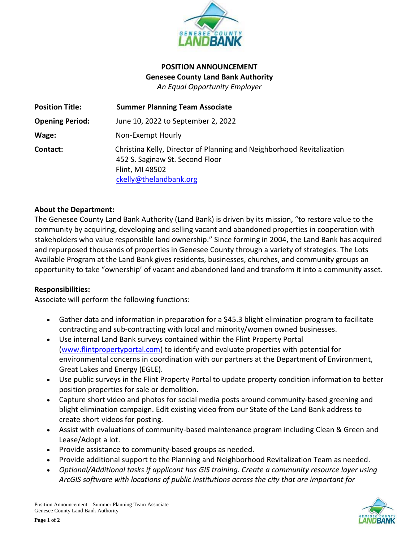

# **POSITION ANNOUNCEMENT Genesee County Land Bank Authority** *An Equal Opportunity Employer*

| <b>Position Title:</b> | <b>Summer Planning Team Associate</b>                                                                                                                 |
|------------------------|-------------------------------------------------------------------------------------------------------------------------------------------------------|
| <b>Opening Period:</b> | June 10, 2022 to September 2, 2022                                                                                                                    |
| Wage:                  | Non-Exempt Hourly                                                                                                                                     |
| Contact:               | Christina Kelly, Director of Planning and Neighborhood Revitalization<br>452 S. Saginaw St. Second Floor<br>Flint, MI 48502<br>ckelly@thelandbank.org |

## **About the Department:**

The Genesee County Land Bank Authority (Land Bank) is driven by its mission, "to restore value to the community by acquiring, developing and selling vacant and abandoned properties in cooperation with stakeholders who value responsible land ownership." Since forming in 2004, the Land Bank has acquired and repurposed thousands of properties in Genesee County through a variety of strategies. The Lots Available Program at the Land Bank gives residents, businesses, churches, and community groups an opportunity to take "ownership' of vacant and abandoned land and transform it into a community asset.

#### **Responsibilities:**

Associate will perform the following functions:

- Gather data and information in preparation for a \$45.3 blight elimination program to facilitate contracting and sub-contracting with local and minority/women owned businesses.
- Use internal Land Bank surveys contained within the Flint Property Portal [\(www.flintpropertyportal.com\)](http://www.flintpropertyportal.com/) to identify and evaluate properties with potential for environmental concerns in coordination with our partners at the Department of Environment, Great Lakes and Energy (EGLE).
- Use public surveys in the Flint Property Portal to update property condition information to better position properties for sale or demolition.
- Capture short video and photos for social media posts around community-based greening and blight elimination campaign. Edit existing video from our State of the Land Bank address to create short videos for posting.
- Assist with evaluations of community-based maintenance program including Clean & Green and Lease/Adopt a lot.
- Provide assistance to community-based groups as needed.
- Provide additional support to the Planning and Neighborhood Revitalization Team as needed.
- *Optional/Additional tasks if applicant has GIS training. Create a community resource layer using ArcGIS software with locations of public institutions across the city that are important for*